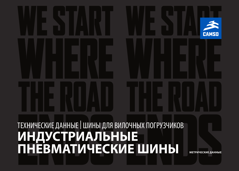# ТЕХНИЧЕСКИЕ ДАННЫЕ | ШИНЫ ДЛЯ ВИЛОЧНЫХ ПОГРУЗЧИКОВ **ИНДУСТРИАЛЬНЫЕ ПНЕВМАТИЧЕСКИЕ ШИНЫ МЕТРИЧЕСКИЕ ДАННЫЕ**

**CAMSO**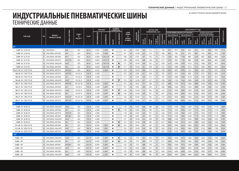В СИНИХ СТРОКАХ УКАЗАН ДИАМЕТР КОЛЕС

|                              |    |                                      |             |                 |             | $RIM$ SIZE <sup>1</sup> |                          | <b>RUBBER</b><br>COMPOUND |             |                               |                |                                     |                     |                  | <b>ACTUAL TIRE</b>      |                    | LOAD CAPACITY <sup>2</sup> (kg) |                                    |               |                   |                  |                             |                  |                                                                                                                                                                                                                                                                                                                                                                                                                                   |                 |
|------------------------------|----|--------------------------------------|-------------|-----------------|-------------|-------------------------|--------------------------|---------------------------|-------------|-------------------------------|----------------|-------------------------------------|---------------------|------------------|-------------------------|--------------------|---------------------------------|------------------------------------|---------------|-------------------|------------------|-----------------------------|------------------|-----------------------------------------------------------------------------------------------------------------------------------------------------------------------------------------------------------------------------------------------------------------------------------------------------------------------------------------------------------------------------------------------------------------------------------|-----------------|
| <b>TIRE SIZE</b>             |    | <b>BRAND/</b><br><b>PRODUCT NAME</b> | PATTERN     |                 | <b>FLAP</b> |                         |                          |                           |             | <b>LOAD</b>                   |                |                                     |                     |                  | <b>DIMENSIONS</b> (mm)  |                    |                                 | <b>COUNTERBALANCED LIFT TRUCKS</b> |               |                   |                  | OTHER VEHICLES <sup>3</sup> |                  |                                                                                                                                                                                                                                                                                                                                                                                                                                   |                 |
|                              | PR |                                      |             | TUBE*<br>&      |             |                         |                          |                           |             | <b>INDEX</b><br>$\mathbf{g}$  |                |                                     |                     |                  |                         | loaded             |                                 | Up to 25 km/h                      |               | Up to 35 km/h     |                  |                             | AT MAXIMUM SPEED |                                                                                                                                                                                                                                                                                                                                                                                                                                   |                 |
|                              |    |                                      | TREAD       | VALVE**         |             | RECOMMENDED             | <b>ALTERNATIVE</b>       | <b>BLACK</b>              | NON-MARKING | <b>SPEED</b><br><b>SYMBOL</b> |                | <b>INFLATION<br/>PRESSURE (bar)</b> | Overall<br>diameter | Overall<br>width | Original<br>tread depth | Static I<br>radius | Load<br>wheel                   | Steering<br>wheel                  | Load<br>wheel | Steering<br>wheel | Up to<br>10 km/h | Up to<br>25 km/h            | Up to<br>40 km/h | $\begin{array}{c}\n\frac{1}{2} \\ \frac{1}{2} \\ \frac{1}{2} \\ \frac{1}{2} \\ \frac{1}{2} \\ \frac{1}{2} \\ \frac{1}{2} \\ \frac{1}{2} \\ \frac{1}{2} \\ \frac{1}{2} \\ \frac{1}{2} \\ \frac{1}{2} \\ \frac{1}{2} \\ \frac{1}{2} \\ \frac{1}{2} \\ \frac{1}{2} \\ \frac{1}{2} \\ \frac{1}{2} \\ \frac{1}{2} \\ \frac{1}{2} \\ \frac{1}{2} \\ \frac{1}{2} \\ \frac{1}{2} \\ \frac{1}{2} \\ \frac{1}{2} \\ \frac{1}{2} \\ \frac{1$ | STATIC (0 km/h) |
| 8"                           |    |                                      |             |                 |             |                         |                          |                           |             |                               |                |                                     |                     |                  |                         |                    |                                 |                                    |               |                   |                  |                             |                  |                                                                                                                                                                                                                                                                                                                                                                                                                                   |                 |
| $4.00 - 8$ $(4.80 - 8)$      |    | 8 SOLIDEAL                           | <b>RIB</b>  | JS2             | $90 - 8$    | 3.25                    | 3.00D                    | ٠                         |             | 94                            | A <sub>5</sub> | 9.00                                | 425                 | 114              | $7^{\circ}$             | 194                | 870                             | 670                                | 840           | 620               | 870              | 670                         | 595              | 565                                                                                                                                                                                                                                                                                                                                                                                                                               | 1010            |
| $4.00 - 8$ $(4.80 - 8)$      |    | 10 SOLIDEAL AIR 550                  | $ED+$       | JS2             | $90 - 8$    | 3.251                   | 3.00D                    | п                         |             | 97                            | A <sub>5</sub> | 10.00                               | 422                 | 115              | 12                      | 196                | 950                             | 730                                | 915           | 675               | 950              | 730                         | 650              | 615                                                                                                                                                                                                                                                                                                                                                                                                                               | 1100            |
| $5.00 - 8$ (5.70-8)          |    | 8 SOLIDEAL AIR 550                   | $ED+$       | JS <sub>2</sub> | $90 - 8$    | 3.00D                   | 3.25//3.75               | п                         |             | 106                           | A <sub>5</sub> | 8.25                                | 467                 | 132              | 14                      | 210                | 1235                            | 950                                | 1190          | 880               | 1235             | 950                         | 845              | 800                                                                                                                                                                                                                                                                                                                                                                                                                               | 1435            |
| $5.00 - 8$ (5.70-8)          |    | 8 SOLIDEAL AIR 570                   | AIR 570     | JS <sub>2</sub> | $90 - 8$    | 3.00D                   | 3.25//3.75               | п                         |             | 106                           | A <sub>5</sub> | 8.25                                | 468                 | 128              | 10                      | 217                | 1235                            | 950                                | 1190          | 880               | 1235             | 950                         | 845              | 800                                                                                                                                                                                                                                                                                                                                                                                                                               | 1435            |
| $5.00 - 8$ (5.70-8)          |    | 10 SOLIDEAL HAULER                   | <b>HALT</b> | JS2             | $90 - 8$    | 3.00D                   | 3.25//3.75               | п                         |             | 111                           | A <sub>5</sub> | 10.00                               | 460                 | 132              | 14                      | 209                | 1415                            | 1090                               | 1365          | 1010              | 1415             | 1090                        | 970              | 915                                                                                                                                                                                                                                                                                                                                                                                                                               | 1645            |
| $5.00 - 8$ (5.70-8)          |    | 10 SOLIDEAL AIR 550                  | $ED+$       | JS2             | $90 - 8$    | 3.00D                   | 3.25/3.75                | ٠                         |             | 111                           | A <sub>5</sub> | 10.00                               | 461                 | 128              | 15                      | 213                | 1415                            | 1090                               | 1365          | 1010              | 1415             | 1090                        | 970              | 915                                                                                                                                                                                                                                                                                                                                                                                                                               | 1645            |
| 15 x 4 1/2 - 8 (125/75-8)    |    | 12 SOLIDEAL AIR 570                  | AIR 570     | JS <sub>2</sub> | $90 - 8$    | 3.251                   | 3.00D                    | ٠                         |             | 100                           | A <sub>5</sub> | 10.00                               | 393                 | 112              | 10                      | 183                | 1040                            | 800                                | 1000          | 740               | 1040             | 800                         | 710              | 670                                                                                                                                                                                                                                                                                                                                                                                                                               | 1210            |
| $16 \times 6 - 8$ (150/75-8) |    | 10 SOLIDEAL AIR 570                  | AIR 570     | $V3 - 02 - 5$   | $130 - 8$   | 4.33R                   | $\overline{\phantom{a}}$ | ٠                         |             | 107                           | A <sub>5</sub> | 8.00                                | 427                 | 139              | 10                      | 197                | 1270                            | 975                                | 1220          | 900               | 1270             | 975                         | 870              | 820                                                                                                                                                                                                                                                                                                                                                                                                                               | 1470            |
| $16 \times 6 - 8$ (150/75-8) |    | 14 SOLIDEAL AIR 550                  | $ED+$       | $V3 - 02 - 5$   | $130 - 8$   | 4.33R                   | ۰                        | п                         |             | 111                           | A <sub>5</sub> | 9.50                                | 420                 | 147              | 13                      | 191                | 1415                            | 1090                               | 1365          | 1010              | 1415             | 1090                        | 970              | 915                                                                                                                                                                                                                                                                                                                                                                                                                               | 1645            |
| $16 \times 6 - 8$ (150/75-8) |    | 16 SOLIDEAL HAULER                   | <b>HALT</b> | $V3 - 02 - 5$   | $130 - 8$   | 4.33R                   | $\overline{\phantom{a}}$ | п                         | п           | 113                           | A <sub>5</sub> | 10.00                               | 421                 | 147              | 12                      | 190                | 1495                            | 1150                               | 1440          | 1065              | 1495             | 1150                        | 1025             | 965                                                                                                                                                                                                                                                                                                                                                                                                                               | 1735            |
| $18 \times 7 - 8$ (180/70-8) |    | 14 SOLIDEAL AIR 570                  | AIR 570     | V3-02-19        | $130 - 8$   | 4.33R                   | 5.00F                    | п                         |             | 121                           | A <sub>5</sub> | 9.00                                | 471                 | 159              | 12                      | 237                | 1885                            | 1450                               | 1815          | 1340              | 1885             | 1450                        | 1290             | 1220                                                                                                                                                                                                                                                                                                                                                                                                                              | 2190            |
| $18 \times 7 - 8$ (180/70-8) |    | 14 SOLIDEAL AIR 550                  | $ED+$       | $V3 - 02 - 5$   | $130 - 8$   | 4.33R                   | 5.00F                    | п                         |             | 121                           | A <sub>5</sub> | 9.00                                | 460                 | 155              | 9                       | 208                | 1885                            | 1450                               | 1815          | 1340              | 1885             | 1450                        | 1290             | 1220                                                                                                                                                                                                                                                                                                                                                                                                                              | 2190            |
| $18 \times 7 - 8$ (180/70-8) |    | 16 SOLIDEAL HAULER                   | <b>HALT</b> | $V3 - 02 - 5$   | $130 - 8$   | 4.33R                   | 5.00F                    | ٠                         | п           | 125                           | A <sub>5</sub> | 10.00                               | 472                 | 164              | 18                      | 210                | 2145                            | 1650                               | 2065          | 1525              | 2145             | 1650                        | 1470             | 1385                                                                                                                                                                                                                                                                                                                                                                                                                              | 2490            |
| $18 \times 7 - 8$ (180/70-8) |    | 16 SOLIDEAL AIR 550                  | $ED+$       | $V3 - 02 - 5$   | $130 - 8$   | 4.33R                   | 5.00F                    | п                         |             | 125                           | A <sub>5</sub> | 10.00                               | 459                 | 157              | 16                      | 207                | 2145                            | 1650                               | 2065          | 1525              | 2145             | 1650                        | 1470             | 1385                                                                                                                                                                                                                                                                                                                                                                                                                              | 2490            |
| $18 \times 7 - 8$ (180/70-8) |    | 16 SOLIDEAL AIR 570                  | AIR 570     | $V3 - 02 - 19$  | $130 - 8$   | 4.33R                   | 5.00F                    | п                         |             | 125                           | A <sub>5</sub> | 10.00                               | 471                 | 164              | 12                      | 212                | 2145                            | 1650                               | 2065          | 1525              | 2145             | 1650                        | 1470             | 1385                                                                                                                                                                                                                                                                                                                                                                                                                              | 2490            |
| $18 \times 7 - 8$ (180/70-8) |    | 16 SOLIDEAL AIR 570                  | AIR 570     | $V3 - 02 - 19$  | $130 - 8$   | 4.33R                   | 5.00F                    | ٠                         |             | 125                           | A <sub>5</sub> | 10.00                               | 471                 | 164              | 12                      | 212                | 2145                            | 1650                               | 2065          | 1525              | 2145             | 1650                        | 1470             | 1385                                                                                                                                                                                                                                                                                                                                                                                                                              | 2490            |
| <b>g</b> "                   |    |                                      |             |                 |             |                         |                          |                           |             |                               |                |                                     |                     |                  |                         |                    |                                 |                                    |               |                   |                  |                             |                  |                                                                                                                                                                                                                                                                                                                                                                                                                                   |                 |
| $6.00 - 9$ $(6.90 - 9)$      |    | 10 SOLIDEAL HAULER                   | <b>HALT</b> | JS2             | $125 - 9$   | 4.00E                   | $\sim$                   | п                         |             | 118                           | A <sub>5</sub> | 8.50                                | 536                 | 168              | 16                      | 243                | 1715                            | 1320                               | 1650          | 1220              | 1715             | 1320                        | 1175             | 1110                                                                                                                                                                                                                                                                                                                                                                                                                              | 1995            |
| $6.00 - 9$ $(6.90 - 9)$      |    | 10 SOLIDEAL AIR 550                  | $ED+$       | JS2             | $125 - 9$   | 4.00E                   | $\overline{\phantom{a}}$ | п                         | ٠           | 118                           | A <sub>5</sub> | 8.50                                | 534                 | 165              | 11                      | 245                | 1715                            | 1320                               | 1650          | 1220              | 1715             | 1320                        | 1175             | 1110                                                                                                                                                                                                                                                                                                                                                                                                                              | 1995            |
| $6.00 - 9$ (6.90-9)          |    | 10 SOLIDEAL AIR 570                  | AIR 570     | JS2             | $125 - 9$   | 4.00E                   | $\overline{\phantom{a}}$ | п                         |             | 118                           | A <sub>5</sub> | 8.50                                | 540                 | 157              | 12                      | 249                | 1715                            | 1320                               | 1650          | 1220              | 1715             | 1320                        | 1175             | 1110                                                                                                                                                                                                                                                                                                                                                                                                                              | 1995            |
| $6.00 - 9$ (6.90-9)          |    | 10 SOLIDEAL AIR 56                   | AIR 561     | JS <sub>2</sub> | $125 - 9$   | 4.00E                   | $\overline{\phantom{a}}$ | п                         |             | 118                           | A <sub>5</sub> | 8.50                                | 537                 | 161              | 12                      | 252                | 1715                            | 1320                               | 1650          | 1220              | 1715             | 1320                        | 1175             | 1110                                                                                                                                                                                                                                                                                                                                                                                                                              | 1995            |
| $6.00 - 9$ (6.90-9)          |    | 12 SOLIDEAL HAULER                   | <b>HALT</b> | JS <sub>2</sub> | $125 - 9$   | 4.00E                   | $\overline{\phantom{a}}$ | п                         |             | 121                           | A <sub>5</sub> | 10.00                               | 544                 | 166              | 16                      | 245                | 1885                            | 1450                               | 1815          | 1340              | 1885             | 1450                        | 1290             | 1220                                                                                                                                                                                                                                                                                                                                                                                                                              | 2190            |
| $6.00 - 9$ (6.90-9)          |    | 12 SOLIDEAL AIR 550                  | $ED+$       | JS <sub>2</sub> | $125 - 9$   | 4.00E                   | $\overline{\phantom{a}}$ | п                         | п           | 121                           | A <sub>5</sub> | 10.00                               | 536                 | 160              | 15                      | 247                | 1885                            | 1450                               | 1815          | 1340              | 1885             | 1450                        | 1290             | 1220                                                                                                                                                                                                                                                                                                                                                                                                                              | 2190            |
| $21 \times 8 - 9$ (200/75-9) |    | 14 SOLIDEAL AIR 550                  | $ED+$       | JS <sub>2</sub> | $180 - 9$   | 6.00E                   | 7.00E                    | п                         |             | 131                           | A <sub>5</sub> | 9.00                                | 531                 | 194              | 21                      | 240                | 2535                            | 1950                               | 2440          | 1805              | 2535             | 1950                        | 1735             | 1640                                                                                                                                                                                                                                                                                                                                                                                                                              | 2945            |
| $21 \times 8 - 9$ (200/75-9) |    | 16 SOLIDEAL HAULER                   | <b>HALT</b> | JS2             | $180 - 9$   | 6.00E                   | 7.00E                    | п                         |             | 134                           | A <sub>5</sub> | 10.00                               | 546                 | 198              | 19                      | 240                | 2755                            | 2120                               | 2650          | 1960              | 2755             | 2120                        | 1885             | 1780                                                                                                                                                                                                                                                                                                                                                                                                                              | 3200            |
| $21 \times 8 - 9$ (200/75-9) |    | 16 SOLIDEAL AIR 570                  | AIR 570     | JS <sub>2</sub> | $180 - 9$   | 6.00E                   | 7.00E                    | ٠                         |             | 134                           | A <sub>5</sub> | 10.00                               | 529                 | 199              | 13                      | 242                | 2755                            | 2120                               | 2650          | 1960              | 2755             | 2120                        | 1885             | 1780                                                                                                                                                                                                                                                                                                                                                                                                                              | 3200            |
| 10"                          |    |                                      |             |                 |             |                         |                          |                           |             |                               |                |                                     |                     |                  |                         |                    |                                 |                                    |               |                   |                  |                             |                  |                                                                                                                                                                                                                                                                                                                                                                                                                                   |                 |
| $6.50 - 10$                  |    | 10 SOLIDEAL HAULER                   | <b>HALT</b> | JS2             | 140-10      | 5.00F                   | 5.50F                    | п                         |             | 122                           | A <sub>5</sub> | 7.75                                | 592                 | 183              | 16                      | 271                | 1950                            | 1500                               | 1875          | 1390              | 1950             | 1500                        | 1335             | 1260                                                                                                                                                                                                                                                                                                                                                                                                                              | 2265            |
| $6.50 - 10$                  |    | 10 SOLIDEAL AIR 550                  | $ED+$       | JS2             | 140-10      | 5.00F                   | 5.50F                    | п                         |             | 122                           | A <sub>5</sub> | 7.75                                | 590                 | 179              | 10                      | 271                | 1950                            | 1500                               | 1875          | 1390              | 1950             | 1500                        | 1335             | 1260                                                                                                                                                                                                                                                                                                                                                                                                                              | 2265            |
| $6.50 - 10$                  |    | 10 SOLIDEAL AIR 56                   | AIR 561     | JS <sub>2</sub> | 140-10      | 5.00F                   | 5.50F                    | ٠                         |             | 122                           | A <sub>5</sub> | 7.75                                | 586                 | 176              | 13                      | 272                | 1950                            | 1500                               | 1875          | 1390              | 1950             | 1500                        | 1335             | 1260                                                                                                                                                                                                                                                                                                                                                                                                                              | 2265            |
| $6.50 - 10$                  |    | 12 SOLIDEAL HAULER                   | <b>HALT</b> | JS <sub>2</sub> | 140-10      | 5.00F                   | 5.50F                    | ٠                         |             | 125                           | A <sub>5</sub> | 9.00                                | 595                 | 181              | 16                      | 272                | 2145                            | 1650                               | 2065          | 1525              | 2145             | 1650                        | 1470             | 1385                                                                                                                                                                                                                                                                                                                                                                                                                              | 2490            |
| $6.50 - 10$                  |    | 12 SOLIDEAL AIR 550                  | $ED+$       | JS2             | 140-10      | 5.00F                   | 5.50F                    | п                         |             | 125                           | A <sub>5</sub> | 9.00                                | 588                 | 185              | 15                      | 265                | 2145                            | 1650                               | 2065          | 1525              | 2145             | 1650                        | 1470             | 1385                                                                                                                                                                                                                                                                                                                                                                                                                              | 2490            |
| $6.50 - 10$                  |    | 14 SOLIDEAL HAULER                   | <b>HALT</b> | JS2             | 140-10      | 5.00F                   | 5.50F                    | п                         |             | 128                           | A <sub>5</sub> | 10.00                               | 595                 | 180              | 16                      | 268                | 2340                            | 1800                               | 2250          | 1665              | 2340             | 1800                        | 1600             | 1510                                                                                                                                                                                                                                                                                                                                                                                                                              | 2720            |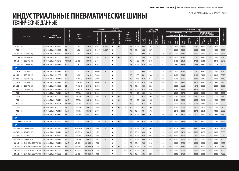В СИНИХ СТРОКАХ УКАЗАН ДИАМЕТР КОЛЕС

| <b>TIRE SIZE</b>                                      | PR | BRAND /<br><b>PRODUCT NAME</b> | <b>PATTERN</b> |                 |             | $RIM$ SIZE <sup>1</sup> |                          | <b>RUBBER</b><br><b>COMPOUND</b> |             |                                |                               |                                     | <b>ACTUAL TIRE</b> |                        |                          |                 | LOAD CAPACITY <sup>2</sup> (kg)    |               |               |                   |                             |                  |                         |                |                 |
|-------------------------------------------------------|----|--------------------------------|----------------|-----------------|-------------|-------------------------|--------------------------|----------------------------------|-------------|--------------------------------|-------------------------------|-------------------------------------|--------------------|------------------------|--------------------------|-----------------|------------------------------------|---------------|---------------|-------------------|-----------------------------|------------------|-------------------------|----------------|-----------------|
|                                                       |    |                                |                |                 |             | COMMENDED               |                          |                                  |             | <b>LOAD</b>                    |                               |                                     |                    | <b>DIMENSIONS</b> (mm) |                          |                 | <b>COUNTERBALANCED LIFT TRUCKS</b> |               |               |                   | OTHER VEHICLES <sup>3</sup> |                  |                         |                |                 |
|                                                       |    |                                |                | TUBE*<br>&      | <b>FLAP</b> |                         | <b>ALTERNATIVE</b>       | <b>BLACK</b>                     |             | <b>INDEX</b><br>8 <sub>x</sub> |                               | <b>INFLATION<br/>PRESSURE (bar)</b> |                    |                        | depth<br>Original<br>bee | loaded<br>tatic |                                    | Up to 25 km/h |               | Up to 35 km/h     |                             |                  | <b>AT MAXIMUM SPEED</b> |                |                 |
|                                                       |    |                                | TREAD          | VALVE**         |             |                         |                          |                                  | NON-MARKING |                                | <b>SPEED</b><br><b>SYMBOL</b> |                                     | diamete<br>Overall | verall<br>Õ.           |                          |                 | wheel<br>Load                      | Steering      | Load<br>wheel | Steering<br>wheel | Up to<br>10 km/h            | Up to<br>25 km/h | Up to<br>40 km/h        | Up to<br>50 km | STATIC (0 km/h) |
| $6.50 - 10$                                           |    | 14 SOLIDEAL AIR 550            | $ED+$          | JS <sub>2</sub> | 140-10      | 5.00F                   | 5.50F                    | ٠                                | ٠           | 128                            | A <sub>5</sub>                | 10.00                               | 588                | 181                    | 10                       | 271             | 2340                               | 1800          | 2250          | 1665              | 2340                        | 1800             | 1600                    | 1510           | 2720            |
| $7.50 - 10$                                           |    | 16 SOLIDEAL AIR 550            | $ED+$          | JS2             | $140 - 10$  | 5.50F                   | 5.00F                    | п                                |             | 138                            | A <sub>5</sub>                | 10.00                               | 632                | 207                    | 10                       | 291             | 3070                               | 2360          | 2950          | 2185              | 3070                        | 2360             | 2100                    | 1980           | 3565            |
| $23 \times 9 - 10$ (225/75-10)                        |    | 16 SOLIDEAL AIR 570            | AIR 570        | JS2             | 180-10      | 6.50F                   |                          | п                                |             | 137                            | A <sub>5</sub>                | 8.00                                | 590                | 214                    | 14                       | 270             | 2990                               | 2300          | 2875          | 2130              | 2990                        | 2300             | 2045                    | 1930           | 3475            |
| $23 \times 9 - 10$ (225/75-10)                        |    | 18 SOLIDEAL AIR 550            | $ED+$          | JS2             | 180-10      | 6.50F                   | $\overline{\phantom{a}}$ | п                                | п           | 139                            | A <sub>5</sub>                | 9.00                                | 580                | 232                    | 20                       | 263             | 3160                               | 2430          | 3040          | 2250              | 3160                        | 2430             | 2165                    | 2040           | 3670            |
| $23 \times 9 - 10$ (225/75-10)                        |    | 18 SOLIDEAL AIR 570            | AIR 570        | $V3 - 02 - 07$  | 180-10      | 6.50F                   | $\overline{\phantom{a}}$ | п                                |             | 139                            | A <sub>5</sub>                | 9.00                                | 594                | 216                    | 15                       | 271             | 3160                               | 2430          | 3040          | 2250              | 3160                        | 2430             | 2165                    | 2040           | 3670            |
| $23 \times 9 - 10$ (225/75-10)                        |    | 20 SOLIDEAL HAULER             | <b>HALT</b>    | JS2             | 180-10      | 6.50F                   | $\overline{\phantom{a}}$ | п                                |             | 142                            | A <sub>5</sub>                | 10.00                               | 579                | 235                    | 15                       | 261             | 3445                               | 2650          | 3315          | 2450              | 3445                        | 2650             | 2360                    | 2225           | 4000            |
| 12"                                                   |    |                                |                |                 |             |                         |                          |                                  |             |                                |                               |                                     |                    |                        |                          |                 |                                    |               |               |                   |                             |                  |                         |                |                 |
| $23 \times 10 - 12$ (250/60-12)                       |    | 16 SOLIDEAL HAULER             | <b>HALT</b>    | JS2             | 210-12      | 8.00G                   | $\overline{a}$           | п                                |             | 139                            | A <sub>5</sub>                | 8.00                                | 604                | 247                    | 18                       | 274             | 3160                               | 2430          | 3040          | 2250              | 3160                        | 2430             | 2165                    | 2040           | 3670            |
| $23 \times 10 - 12$ (250/60-12)                       |    | 16 SOLIDEAL AIR 550            | $ED+$          | JS2             | 210-12      | 8.00G                   | $\overline{\phantom{a}}$ |                                  |             | 139                            | A <sub>5</sub>                | 8.00                                | 591                | 239                    | 14                       | 270             | 3160                               | 2430          | 3040          | 2250              | 3160                        | 2430             | 2165                    | 2040           | 3670            |
| $27 \times 10 - 12$ (250/75-12)                       |    | 14 SOLIDEAL HAULER             | HALT           | $V3 - 02 - 5$   | 210-12      | 8.00G                   | $\overline{\phantom{a}}$ | п                                |             | 143                            | A <sub>5</sub>                | 7.00                                | 679                | 251                    | 22                       | 303             | 3545                               | 2725          | 3405          | 2520              | 3545                        | 2725             | 2425                    | 2290           | 4115            |
| $27 \times 10 - 12$ (250/75-12)                       |    | 20 SOLIDEAL HAULER             | <b>HALT</b>    | $V3 - 02 - 5$   | 210-12      | 8.00G                   | $\overline{\phantom{a}}$ | п                                |             | 152                            | A <sub>5</sub>                | 10.00                               | 674                | 249                    | 22                       | 305             | 4615                               | 3550          | 4440          | 3285              | 4615                        | 3550             | 3160                    | 2980           | 5360            |
| $27 \times 10 - 12$ (250/75-12)                       |    | 20 SOLIDEAL AIR 550            | $ED+$          | $V3 - 02 - 5$   | 210-12      | 8.00G                   | $\overline{\phantom{a}}$ | п                                |             | 152                            | A <sub>5</sub>                | 10.00                               | 680                | 254                    | 14                       | 304             | 4615                               | 3550          | 4440          | 3285              | 4615                        | 3550             | 3160                    | 2980           | 5360            |
| $27 \times 10 - 12$ (250/75-12)                       |    | 24 SOLIDEAL HAULER             | <b>HALT</b>    | $V3 - 02 - 5$   | 210-12      | 8.00G                   | $\overline{\phantom{a}}$ | п                                |             | 158                            | A <sub>5</sub>                | 10.00                               | 674                | 249                    | 22                       | 305             | 5525                               | 4250          | 5315          | 3930              | 5525                        | 4250             | 3785                    | 3570           | 6420            |
| $7.00 - 12$                                           |    | 12 SOLIDEAL HAULER             | <b>HALT</b>    | <b>TR75A</b>    | 135-12      | 5.00S                   | $\overline{\phantom{a}}$ | п                                |             | 133                            | A <sub>5</sub>                | 8.50                                | 680                | 194                    | 17                       | 311             | 2680                               | 2060          | 2575          | 1905              | 2680                        | 2060             | 1835                    | 1730           | 3110            |
| $7.00 - 12$                                           |    | 12 SOLIDEAL AIR 550            | $ED+$          | <b>TR75A</b>    | 135-12      | 5.00S                   | $\overline{\phantom{a}}$ |                                  | п           | 133                            | A <sub>5</sub>                | 8.50                                | 675                | 194                    | 16                       | 305             | 2680                               | 2060          | 2575          | 1905              | 2680                        | 2060             | 1835                    | 1730           | 3110            |
| $7.00 - 12$                                           |    | 14 SOLIDEAL HAULER             | <b>HALT</b>    | <b>TR75A</b>    | 135-12      | 5.00S                   | $\overline{\phantom{a}}$ | п                                | п           | 134                            | A <sub>5</sub>                | 9.00                                | 680                | 195                    | 17                       | 310             | 2755                               | 2120          | 2650          | 1960              | 2755                        | 2120             | 1885                    | 1780           | 3200            |
| $7.00 - 12$                                           |    | 14 SOLIDEAL AIR 56             | AIR 561        | <b>TR75A</b>    | 135-12      | 5.00S                   | $\overline{\phantom{a}}$ | п                                |             | 134                            | A <sub>5</sub>                | 9.00                                | 672                | 185                    | 14                       | 312             | 2755                               | 2120          | 2650          | 1960              | 2755                        | 2120             | 1885                    | 1780           | 3200            |
| $7.00 - 12$                                           |    | 14 SOLIDEAL AIR 550            | $ED+$          | <b>TR75A</b>    | 135-12      | 5.00S                   | $\overline{\phantom{a}}$ | п                                | п           | 134                            | A <sub>5</sub>                | 9.00                                | 677                | 194                    | 12                       | 312             | 2755                               | 2120          | 2650          | 1960              | 2755                        | 2120             | 1885                    | 1780           | 3200            |
| $7.00 - 12$                                           |    | 16 SOLIDEAL HAULER             | <b>HALT</b>    | <b>TR75A</b>    | 135-12      | 5.00S                   |                          |                                  |             | 136                            | A <sub>5</sub>                | 10.00                               | 684                | 195                    | 18                       | 310             | 2910                               | 2240          | 2800          | 2070              | 2910                        | 2240             | 1995                    | 1880           | 3380            |
| $7.00 - 12$                                           |    | 16 SOLIDEAL AIR 550            | $ED+$          | <b>TR75A</b>    | 135-12      | 5.00S                   |                          | п                                |             | 136                            | A <sub>5</sub>                | 10.00                               | 669                | 191                    | 12                       | 309             | 2910                               | 2240          | 2800          | 2070              | 2910                        | 2240             | 1995                    | 1880           | 3380            |
| 13"                                                   |    |                                |                |                 |             |                         |                          |                                  |             |                                |                               |                                     |                    |                        |                          |                 |                                    |               |               |                   |                             |                  |                         |                |                 |
| $23 \times 5$ (5.00-13)                               |    | 10 SOLIDEAL AIR 550            | $ED+$          | JS <sub>2</sub> | 130-13      | 3.75P                   |                          | п                                | п           | 122                            | A <sub>5</sub>                | 7.75                                | 635                | 149                    | 10                       | 298             | 1950                               | 1500          | 1875          | 1390              | 1950                        | 1500             | 1335                    | 1260           | 2265            |
| 15"                                                   |    |                                |                |                 |             |                         |                          |                                  |             |                                |                               |                                     |                    |                        |                          |                 |                                    |               |               |                   |                             |                  |                         |                |                 |
| $355/45 - 15$ (28x12.5-15)                            |    | 24 SOLIDEAL AIR 550            | $ED+$          | $V3 - 02 - 10$  | 260-15      | 9.75                    | $\overline{\phantom{a}}$ | п                                |             | 159                            | A <sub>5</sub>                | 10.00                               | 703                | 292                    | 11                       | 321             | 5690                               | 4375          | 5470          | 4045              | 5690                        | 4375             | 3895                    | 3675           | 6605            |
| $355/45 - 15$ (28x12.5-15)                            |    | 24 SOLIDEAL HAULER             | <b>HALT</b>    | $V3 - 02 - 10$  | 260-15      | 9.75                    | $\overline{\phantom{a}}$ | п                                |             | 159                            | A <sub>5</sub>                | 10.00                               | 696                | 291                    | 17                       | 315             | 5690                               | 4375          | 5470          | 4045              | 5690                        | 4375             | 3895                    | 3675           | 6605            |
| $355/65 - 15$ (32x12.1-15)                            |    | 24 SOLIDEAL AIR 550            | $ED+$          | <b>TR78A</b>    | 260-15      | 9.75                    | $\overline{\phantom{a}}$ | п                                |             | 170                            | A <sub>5</sub>                | 10.00                               | 848                | 324                    | 23                       | 388             | 7800                               | 6000          | 7500          | 5550              | 7800                        | 6000             | 5340                    | 5040           | 9060            |
| $355/65 - 15$ (32x12.1-15)                            |    | 24 SOLIDEAL HAULER             | <b>HALT</b>    | <b>TR78A</b>    | 260-15      | 9.75                    |                          | п                                |             | 170                            | A <sub>5</sub>                | 10.00                               | 806                | 314                    | 28                       | 353             | 7800                               | 6000          | 7500          | 5550              | 7800                        | 6000             | 5340                    | 5040           | 9060            |
| $28 \times 9 - 15$ (8.15-15 & 225/75-15)              |    | 14 SOLIDEAL HAULER             | <b>HALT</b>    | $V3 - 02 - 08$  | 180-15 HD   | 7.00                    | $\overline{\phantom{a}}$ | п                                |             | 146                            | A <sub>5</sub>                | 10.00                               | 705                | 218                    | 17                       | 322             | 3900                               | 3000          | 3750          | 2775              | 3900                        | 3000             | 2670                    | 2520           | 4530            |
| $28 \times 9 - 15$ (8.15-15 & 225/75-15)              |    | 14 SOLIDEAL AIR 550            | $ED+$          | $V3 - 02 - 08$  | 180-15 HD   | 7.00                    | $\overline{\phantom{a}}$ |                                  | п           | 146                            | A <sub>5</sub>                | 10.00                               | 710                | 226                    | 14                       | 329             | 3900                               | 3000          | 3750          | 2775              | 3900                        | 3000             | 2670                    | 2520           | 4530            |
| 28 x 9 - 15 (8.15-15 & 225/75-15) 14 SOLIDEAL AIR 570 |    |                                | AIR 570        | $V3-02-08$      | 180-15 HD   | 7.00                    |                          |                                  |             | 146                            | A <sub>5</sub>                | 10.00                               | 707                | 211                    | 14                       | 327             | 3900                               | 3000          | 3750          | 2775              | 3900                        | 3000             | 2670                    | 2520           | 4530            |
| 28 x 9 - 15 (8.15-15 & 225/75-15) 16 SOLIDEAL AIR 550 |    |                                | $ED+$          | $V3 - 02 - 08$  | 180-15 HD   | 7.00                    |                          |                                  |             | 146                            | A <sub>5</sub>                | 10.00                               | 707                | 223                    | 19                       | 326             | 3900                               | 3000          | 3750          | 2775              | 3900                        | 3000             | 2670                    | 2520           | 4530            |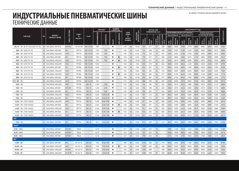**RIM SIZE RUBBER COMPOUND**  $\begin{bmatrix} 1 \end{bmatrix}$  **COMPOUND ACTUAL TIRE**  PATTERN **TREAD PATTERN** STATIC (0 km/h) **PRESSURE (bar) DIMENSIONS (mm) STATIC (0 km/h) LOAD COUNTERBALANCED LIFT TRUCKS OTHER VEHICLES** NFLATION **INFLATION 3RECOMMENDED JON-MARKING NON-MARKING INDEX TUBE\* AT MAXIMUM SPEED Up to 25 km/h Up to 35 km/h Static loaded TIRE SIZE PR BRAND / ALTERNATIVE ALTERNATIVE FLAP & & PRODUCT NAME tread depth** TREAD **VALVE\*\* SPEED Original diameter Load wheel Steering wheel Load wheel Steering wheel Up to 10 km/h Up to 25 km/h Up to 40 km/h Up to 50 km/h Overall BLACK SYMBOL Overall** Fic **radius width 28 x 9 - 15** (8.15-15 & 225/75-15) 18 SOLIDEAL AIR 570 AIR 570 V3-02-08 180-15 HD 7.00 - 146 A5 10.00 707 211 14 329 3900 3000 3750 2775 3900 3000 2670 2520 4530 **250 - 15** (250/70-15) 16 SOLIDEAL AIR 550 ED+ TR77A 180-15 HD 7.50 7.00 150 A5 8.25 734 238 13 338 4355 3350 4190 3100 4355 3350 2980 2815 5060 **250 - 15** (250/70-15) 16 SOLIDEAL HAULER HALT TR77A 180-15 HD 7.50 7.00 150 A5 8.25 743 226 19 337 4355 3350 4190 3100 4355 3350 2980 2815 5060 **250 - 15** (250/70-15) 18 SOLIDEAL AIR 550 ED+ TR77A 180-15 HD 7.50 7.00 153 A5 9.50 735 231 21 336 4745 3650 4565 3375 4745 3650 3250 3065 5510 **250 - 15** (250/70-15) 20 SOLIDEAL HAULER HALT TR77A 180-15 HD 7.50 7.00 155 A5 10.00 733 231 23 337 5040 3875 4845 3585 5040 3875 3450 3255 5850 **300 - 15** (315/70-15) 18 SOLIDEAL HAULER HALT TR78A 180-15 HD 8.00 - 160 A5 7.50 850 278 25 384 5850 4500 5625 4165 5850 4500 4005 3780 6795 **300 - 15** (315/70-15) 18 SOLIDEAL AIR 550 ED+ TR78A 180-15 HD 8.00 - 160 A5 7.50 833 287 19 377 5850 4500 5625 4165 5850 4500 4005 3780 6795 **300 - 15** (315/70-15) 20 SOLIDEAL HAULER HALT TR78A 180-15 HD 8.00 - 164 A5 9.00 834 282 26 375 6500 5000 6250 4625 6500 5000 4450 4200 7550 **300 - 15** (315/70-15) 22 SOLIDEAL HAULER HALT TR78A 180-15 HD 8.00 - 165 A5 10.00 834 282 26 377 6695 5150 6440 4765 6695 5150 4585 4325 7775 **300 - 15** (315/70-15) 22 SOLIDEAL AIR 550 ED+ TR78A 180-15 HD 8.00 - 165 A5 10.00 833 287 18 377 6695 5150 6440 4765 6695 5150 4585 4325 7775 **315/85−15** 20 SOLIDEAL HAULER HALT TR78A 180−15 HD 7.50 172 A5 9.50 908 290 26 397 8190 6300 7875 5830 8190 6300 5605 5290 9515 **7.00 - 15** 14 SOLIDEAL HAULER HALT TR75A 180-15 5.50 5.00 140 A5 9.00 734 190 22 334 3350 2575 3220 2380 3350 2575 2235 2110 3890 **7.00 - 15** 14 SOLIDEAL AIR 561 AIR 561 TR75A 180-15 5.50 5.00 140 A5 9.00 755 196 16 353 3350 2575 3220 2380 3350 2575 2235 2110 3890 **7.00 - 15** 14 SOLIDEAL AIR 550 ED+ TR75A 180-15 5.50 5.00 140 A5 9.00 762 202 17 344 3350 2575 3220 2380 3350 2575 2235 2110 3890 **7.50 - 15** 14 SOLIDEAL HAULER HALT TR75A 180-15 6.00 5.50/6.50 144 A5 9.25 781 212 20 356 3640 2800 3500 2590 3640 2800 2490 2350 4230 **7.50 - 15** 14 SOLIDEAL AIR 550 ED+ TR75A 180-15 6.00 5.50/6.50 144 A5 9.25 784 212 20 357 3640 2800 3500 2590 3640 2800 2490 2350 4230 **8.25−15** (7.50-15(32)) 14 SOLIDEAL HAULER HALT TR77A 180-15 6.50 6.00/7.00 ■ 149 A5 8.00 841 246 19 380 4225 3250 4065 3005 4225 3250 2895 2730 4910 **8.25−15** (7.50−15(32)) 14 SOLIDEAL AIR 550 ED+ TR77A 180−15 6.50 6.00/7.00 ■ ■ 149 A5 8.00 846 251 13 390 4225 3250 4065 3005 4225 3250 2895 2730 4910 **8.25−15** (7.50-15(32)) 16 SOLIDEAL HAULER HALT TR77A 180-15 6.50 6.00/7.00 ■ 152 A5 841 246 23 380 4615 3550 4440 3285 4615 3550 3160 2980 5360 **8.25−15** (7.50-15(32)) 16 SOLIDEAL AIR 550 ED+ TR77A 180-15 6.50 6.00/7.00 ■ ■ 152 A5 845 252 19 380 4615 3550 4440 3285 4615 3550 3160 2980 5360 **8.25 - 15** (7.50-15(32)) 18 SOLIDEAL HAULER HALT TR77A 180-15 6.50 6.00/7.00 153 A5 10.00 841 246 19 381 4745 3650 4565 3375 4745 3650 3250 3065 5510 **16" 7.50 - 16** 12 SOLIDEAL AIR 550 ED+ TR75A 180-16 6.0 5.0/5.50 144 A5 8.00 810 209 12 373 3640 2800 3500 2590 3640 2800 2490 2350 4230 **16.5" 8.00 - 16.5** 10 SOLIDEAL AIR 561 AIR 561 TBLS - 6.75 - 121 A5 5.60 740 225 16 - 1885 1450 1815 1340 1885 1450 1290 1220 2190 **8.75 - 16.5** 10 SOLIDEAL AIR 561 AIR 561 TBLS - 6.75 - 124 A5 5.25 757 224 18 - 2080 1600 2000 1480 2080 1600 1425 1345 2415 **9.50 - 16.5** 10 SOLIDEAL AIR 561 AIR 561 TBLS - 6.75 - 127 A5 5.00 799 253 19 - 2275 1750 2190 1620 2275 1750 1560 1470 2645 **20" 9.00 − 20** 14 SOLIDEAL AIR 550 ED+ V3-02-14 200-20 7.00 6.50/7.50 ■ 160 A5 9.00 1046 286 23 476 5850 4500 5625 4165 5850 4500 4005 3780 6795 **10.00 - 20** 16 SOLIDEAL HAULER HALT V3-02-14 200-20 7.50 7.00/8.00 164 A5 9.00 1088 283 30 496 6500 5000 6250 4625 6500 5000 4450 4200 7550 **10.00 - 20** 16 SOLIDEAL HAULER HA SM V3-02-14 200-20 7.50 7.00/8.00 164 A5 9.00 1085 288 - 499 6500 5000 6250 4625 6500 5000 4450 4200 7550 **10.00 - 20** 16 SOLIDEAL HAULER HA HA TR V3-02-14 200-20 7.50 7.00/8.00 164 A5 9.00 1085 288 30 498 6500 5000 6250 4625 6500 5000 4450 4200 7550

В СИНИХ СТРОКАХ УКАЗАН ДИАМЕТР КОЛЕС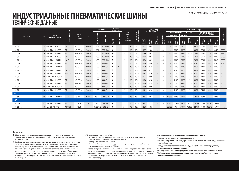В СИНИХ СТРОКАХ УКАЗАН ДИАМЕТР КОЛЕС

#### **ИНДУСТРИАЛЬНЫЕ ПНЕВМАТИЧЕСКИЕ ШИНЫ** ТЕХНИЧЕСКИЕ ДАННЫЕ

**RIM SIZE RUBBER COMPOUND**  $\begin{bmatrix} 1 \end{bmatrix}$  **COMPOUND ACTUAL TIRE**  PATTERN **TREAD PATTERN** STATIC (0 km/h) **PRESSURE (bar) DIMENSIONS (mm) STATIC (0 km/h) COUNTERBALANCED LIFT TRUCKS**<br>**Un to 25 km/h U Un to 35 km/h LOAD OTHER VEHICLES** NFLATION **INFLATION RECOMMENDED ION-MARKING TUBE\* NON-MARKING INDEX AT MAXIMUM SPEED** у  **Up to 25 km/h Up to 35 km/h Static loaded TIRE SIZE PR BRAND / ALTERNATIVE FLAP & & PRODUCT NAME tread depth** TREAD **TRNA VALVE\*\* SPEED diameter Load wheel Steering wheel Load wheel Steering wheel Up to 10 km/h Up to 25 km/h Up to 40 km/h Up to 50 km/h Original BLACK SYMBOL Overall Overall** ृत **radius width 10.00 - 20** 16 SOLIDEAL AIR 550 ED+ V3-02-14 200-20 7.50 7.00/8.00 164 A5 9.00 1065 286 13 494 6500 5000 6250 4625 6500 5000 4450 4200 7550 **10.00 - 20** 20 SOLIDEAL AIR 550 ED+ V3-02-14 200-20 7.50 7.00/8.00 166 A5 10.00 1067 284 13 494 6890 5300 6625 4905 6890 5300 4715 4450 8005 **11.00 - 20** 16 SOLIDEAL HAULER HALT V3-02-14 200-20 8.00 7.50/8.50 167 A5 9.00 1089 302 32 507 7085 5450 6815 5040 7085 5450 4850 4580 8230 **11.00 - 20** 16 SOLIDEAL AIR 550 ED+ V3-02-14 200-20 8.00 7.50/8.50 167 A5 9.00 1087 301 13 505 7085 5450 6815 5040 7085 5450 4850 4580 8230 **11.00 - 20** 18 SOLIDEAL HAULER HALT V3-02-14 200-20 8.00 7.50/8.50 170 A5 10.00 1089 302 32 495 7800 6000 7500 5550 7800 6000 5340 5040 9060 **12.00 - 20** 18 SOLIDEAL HAULER HALT V3-02-14 200-20 8.50 8.00/9.00 172 A5 9.00 1150 330 36 524 8190 6300 7875 5830 8190 6300 5605 5290 9515 **12.00 - 20** 20 SOLIDEAL HAULER HALT V3-02-14 200-20 8.50 8.00/9.00 176 A5 10.00 1150 317 36 517 9230 7100 8875 6570 9230 7100 6320 5965 10720 **12.00 - 20** 20 SOLIDEAL HAULER HA SM V3-02-14 200-20 8.50 8.00/9.00 176 A5 10.00 1145 321 - 528 9230 7100 8875 6570 9230 7100 6320 5965 10720 **12.00 - 20** 20 SOLIDEAL HAULER HA HA TR V3-02-14 200-20 8.50 8.00/9.00 176 A5 10.00 1132 319 36 522 9230 7100 8875 6570 9230 7100 6320 5965 10720 **12.00 - 20** 20 HAULER PORTMASTER HA HD V3-02-14 200-20 8.50 8.00/9.00 176 A5 10.00 1144 320 57 515 9230 7100 8875 6570 9230 7100 6320 5965 10720 **12.00 - 20** 20 SOLIDEAL AIR 550 ED+ V3-02-14 200-20 8.50 8.00/9.00 176 A5 10.00 1138 326 18 526 9230 7100 8875 6570 9230 7100 6320 5965 10720 **12.00 - 20** 28 SOLIDEAL HAULER HALT V3-02-07 200-20 8.50 8.00/9.00 176 A5 10.00 1150 323 36 523 9230 7100 8875 6570 9230 7100 6320 5965 10720 **12.00 - 20** 28 HAULER PORTMASTER HA HD V3-02-14 200-20 8.50 8.00/9.00 176 A5 10.00 1130 320 57 514 9230 7100 8875 6570 9230 7100 6320 5965 10720 **12.00 - 20** 28 SOLIDEAL AIR 550 ED+ V3-02-14 200-20 8.50 8.00/9.00 176 A5 10.00 1142 324 18 528 9230 7100 8875 6570 9230 7100 6320 5965 10720 **24" 14.00 - 24** 28 SOLIDEAL HAULER HALT V3-02-07 250-24 10.00 W/VA/WI 188 A5 10.00 1364 371 50 623 12350 9500 11875 8790 12350 9500 8455 7980 14345 **25" 16.00 - 25** 32 SOLIDEAL HAULER HALT TBLS - 11.25/2.0 13.00/2.0 195 A5 10.00 1472 421 55 664 16250 12500 15625 11565 16250 12500 11125 10500 18875 **18.00 - 25** 40 CAMSO AIR 775 AIR 775 TBLS - 13.00/2.5 15.00/2.5 207 A5 10.00 1650 485 64 - 22750 17500 21875 16190 22750 17500 15575 14700 26425

#### Примечания

- (1) Обратитесь к производителю шин и колес для получения подтверждения соответствия сочетания шины и обода, особенно в отношении формы обода и прочности колес.
- (2) В таблице указаны максимальные показатели скорости транспортного средства без груза. Увеличение грузоподъемности при более низких скоростях не допускается. Нагрузки применимы к эксплуатации при циклических нагрузках. Эксплуатация при циклических нагрузках означает отсутствие непрерывной эксплуатации шин при нагрузках, указанных в соответствующем Индексе нагрузки и обозначенных символом скорости. Это не имеет отношения к продолжительности периода эксплуатации транспортного средства; скорее это относится к изменению нагрузки и/или скорости.

(3) Эта категория включает в себя:

- Ведущие и рулевые колеса на транспортных средствах, не являющихся
- вилочными автопогрузчиками с противовесом
- Передвижные подъемные краны
- Колеса свободного качения на других транспортных средствах (трейлерах) для максимального расстояния до 2000 м.
- По всем вопросам связанным с переездами на большие расстояния, оснащением колес для ротационных установок, непрерывной эксплуатацией или эксплуатацией портальных транспортеров, просим обращаться в технический отдел. С вопросами, связанными с эксплуатацией боковых погрузчиков, просим обращаться в технический отдел.

#### **Все шины не предназначены для эксплуатации на шоссе.**

- \* Размер камеры соответствует размеру шины.
- \*\* В таблице представлены стандартные значения. Прочие значения предоставляются по требованию.

#### **Этот документ содержит технические данные обо всех видах продукции, предлагаемых на мировом рынке.**

**Некоторые из этих видов продукции могут не продаваться в вашем регионе. Чтобы узнать о наличии шин в вашем регионе, обращайтесь к местным торговым представителям.**